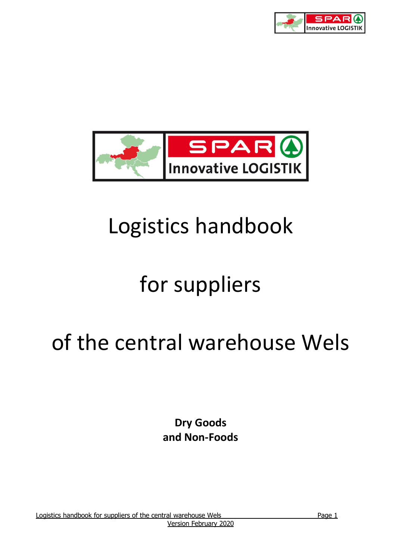



# Logistics handbook

# for suppliers

# of the central warehouse Wels

**Dry Goods and Non-Foods**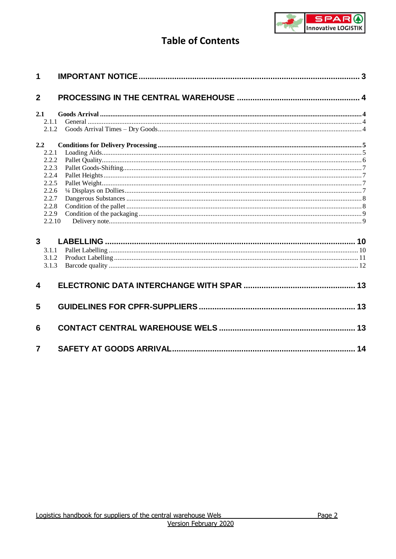

# **Table of Contents**

| 1                       |                |  |
|-------------------------|----------------|--|
| $\overline{2}$          |                |  |
| 2.1                     |                |  |
|                         | 2.1.1<br>2.1.2 |  |
| 2.2                     |                |  |
|                         | 2.2.1          |  |
|                         | 2.2.2          |  |
|                         | 2.2.3          |  |
|                         | 2.2.4          |  |
|                         | 2.2.5          |  |
|                         | 2.2.6          |  |
|                         | 2.2.7          |  |
|                         | 2.2.8<br>2.2.9 |  |
|                         | 2.2.10         |  |
| $\overline{3}$          |                |  |
|                         | 3.1.1          |  |
|                         | 3.1.2          |  |
|                         | 3.1.3          |  |
| $\overline{\mathbf{4}}$ |                |  |
| 5                       |                |  |
| 6                       |                |  |
| $\overline{7}$          |                |  |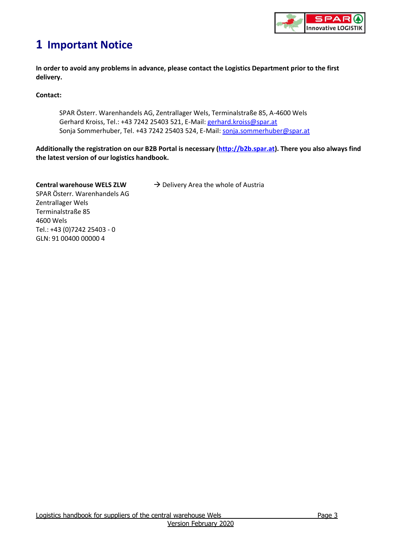

# <span id="page-2-0"></span>**1 Important Notice**

**In order to avoid any problems in advance, please contact the Logistics Department prior to the first delivery.**

**Contact:** 

SPAR Österr. Warenhandels AG, Zentrallager Wels, Terminalstraße 85, A-4600 Wels Gerhard Kroiss, Tel.: +43 7242 25403 521, E-Mail: [gerhard.kroiss@spar.at](mailto:gerhard.kroiss@spar.at) Sonja Sommerhuber, Tel. +43 7242 25403 524, E-Mail: [sonja.sommerhuber@spar.at](mailto:sonja.sommerhuber@spar.at)

**Additionally the registration on our B2B Portal is necessary [\(http://b2b.spar.at\)](https://b2b.spar.at/). There you also always find the latest version of our logistics handbook.**

**Central warehouse WELS ZLW → Delivery Area the whole of Austria** SPAR Österr. Warenhandels AG Zentrallager Wels Terminalstraße 85 4600 Wels Tel.: +43 (0)7242 25403 - 0 GLN: 91 00400 00000 4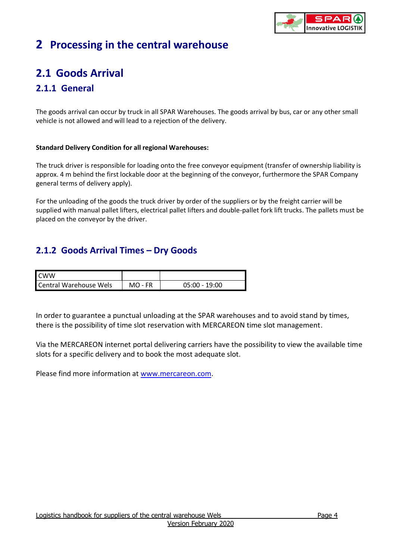

# <span id="page-3-0"></span>**2 Processing in the central warehouse**

# <span id="page-3-1"></span>**2.1 Goods Arrival**

# <span id="page-3-2"></span>**2.1.1 General**

The goods arrival can occur by truck in all SPAR Warehouses. The goods arrival by bus, car or any other small vehicle is not allowed and will lead to a rejection of the delivery.

## **Standard Delivery Condition for all regional Warehouses:**

The truck driver is responsible for loading onto the free conveyor equipment (transfer of ownership liability is approx. 4 m behind the first lockable door at the beginning of the conveyor, furthermore the SPAR Company general terms of delivery apply).

For the unloading of the goods the truck driver by order of the suppliers or by the freight carrier will be supplied with manual pallet lifters, electrical pallet lifters and double-pallet fork lift trucks. The pallets must be placed on the conveyor by the driver.

# <span id="page-3-3"></span>**2.1.2 Goods Arrival Times – Dry Goods**

| <b>CWW</b>                    |           |                 |
|-------------------------------|-----------|-----------------|
| <b>Central Warehouse Wels</b> | $MO$ - FR | $05:00 - 19:00$ |

In order to guarantee a punctual unloading at the SPAR warehouses and to avoid stand by times, there is the possibility of time slot reservation with MERCAREON time slot management.

Via the MERCAREON internet portal delivering carriers have the possibility to view the available time slots for a specific delivery and to book the most adequate slot.

Please find more information at [www.mercareon.com.](http://www.mercareon.com/)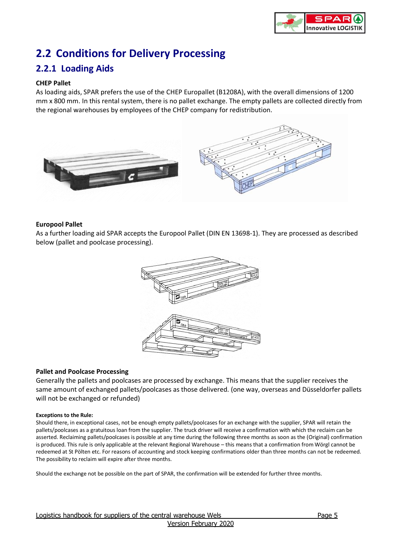

# <span id="page-4-0"></span>**2.2 Conditions for Delivery Processing**

## <span id="page-4-1"></span>**2.2.1 Loading Aids**

#### **CHEP Pallet**

As loading aids, SPAR prefers the use of the CHEP Europallet (B1208A), with the overall dimensions of 1200 mm x 800 mm. In this rental system, there is no pallet exchange. The empty pallets are collected directly from the regional warehouses by employees of the CHEP company for redistribution.



#### **Europool Pallet**

As a further loading aid SPAR accepts the Europool Pallet (DIN EN 13698-1). They are processed as described below (pallet and poolcase processing).



#### **Pallet and Poolcase Processing**

Generally the pallets and poolcases are processed by exchange. This means that the supplier receives the same amount of exchanged pallets/poolcases as those delivered. (one way, overseas and Düsseldorfer pallets will not be exchanged or refunded)

#### **Exceptions to the Rule:**

Should there, in exceptional cases, not be enough empty pallets/poolcases for an exchange with the supplier, SPAR will retain the pallets/poolcases as a gratuitous loan from the supplier. The truck driver will receive a confirmation with which the reclaim can be asserted. Reclaiming pallets/poolcases is possible at any time during the following three months as soon as the (Original) confirmation is produced. This rule is only applicable at the relevant Regional Warehouse – this means that a confirmation from Wörgl cannot be redeemed at St Pölten etc. For reasons of accounting and stock keeping confirmations older than three months can not be redeemed. The possibility to reclaim will expire after three months.

Should the exchange not be possible on the part of SPAR, the confirmation will be extended for further three months.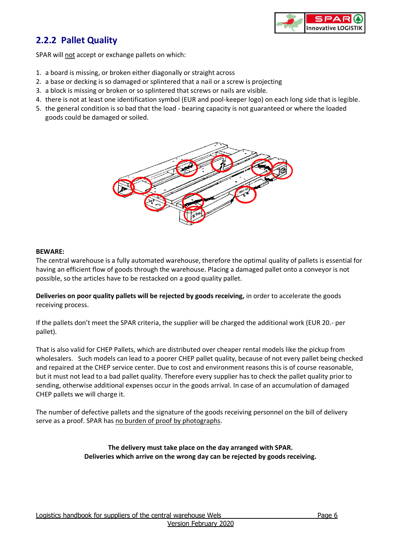

# <span id="page-5-0"></span>**2.2.2 Pallet Quality**

SPAR will not accept or exchange pallets on which:

- 1. a board is missing, or broken either diagonally or straight across
- 2. a base or decking is so damaged or splintered that a nail or a screw is projecting
- 3. a block is missing or broken or so splintered that screws or nails are visible.
- 4. there is not at least one identification symbol (EUR and pool-keeper logo) on each long side that is legible.
- 5. the general condition is so bad that the load bearing capacity is not guaranteed or where the loaded goods could be damaged or soiled.



#### **BEWARE:**

The central warehouse is a fully automated warehouse, therefore the optimal quality of pallets is essential for having an efficient flow of goods through the warehouse. Placing a damaged pallet onto a conveyor is not possible, so the articles have to be restacked on a good quality pallet.

**Deliveries on poor quality pallets will be rejected by goods receiving,** in order to accelerate the goods receiving process.

If the pallets don't meet the SPAR criteria, the supplier will be charged the additional work (EUR 20.- per pallet).

That is also valid for CHEP Pallets, which are distributed over cheaper rental models like the pickup from wholesalers. Such models can lead to a poorer CHEP pallet quality, because of not every pallet being checked and repaired at the CHEP service center. Due to cost and environment reasons this is of course reasonable, but it must not lead to a bad pallet quality. Therefore every supplier has to check the pallet quality prior to sending, otherwise additional expenses occur in the goods arrival. In case of an accumulation of damaged CHEP pallets we will charge it.

The number of defective pallets and the signature of the goods receiving personnel on the bill of delivery serve as a proof. SPAR has no burden of proof by photographs.

> **The delivery must take place on the day arranged with SPAR. Deliveries which arrive on the wrong day can be rejected by goods receiving.**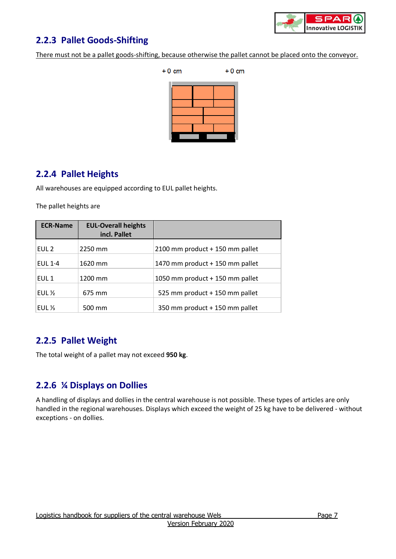

# <span id="page-6-0"></span>**2.2.3 Pallet Goods-Shifting**

There must not be a pallet goods-shifting, because otherwise the pallet cannot be placed onto the conveyor.



## <span id="page-6-1"></span>**2.2.4 Pallet Heights**

All warehouses are equipped according to EUL pallet heights.

The pallet heights are

| <b>ECR-Name</b>   | <b>EUL-Overall heights</b><br>incl. Pallet |                                 |
|-------------------|--------------------------------------------|---------------------------------|
| EUL <sub>2</sub>  | 2250 mm                                    | 2100 mm product + 150 mm pallet |
| EUL $1.4$         | 1620 mm                                    | 1470 mm product + 150 mm pallet |
| EUL <sub>1</sub>  | 1200 mm                                    | 1050 mm product + 150 mm pallet |
| EUL $\frac{1}{2}$ | 675 mm                                     | 525 mm product + 150 mm pallet  |
| EUL $\frac{1}{3}$ | 500 mm                                     | 350 mm product + 150 mm pallet  |

# <span id="page-6-2"></span>**2.2.5 Pallet Weight**

The total weight of a pallet may not exceed **950 kg**.

# <span id="page-6-3"></span>**2.2.6 ¼ Displays on Dollies**

A handling of displays and dollies in the central warehouse is not possible. These types of articles are only handled in the regional warehouses. Displays which exceed the weight of 25 kg have to be delivered - without exceptions - on dollies.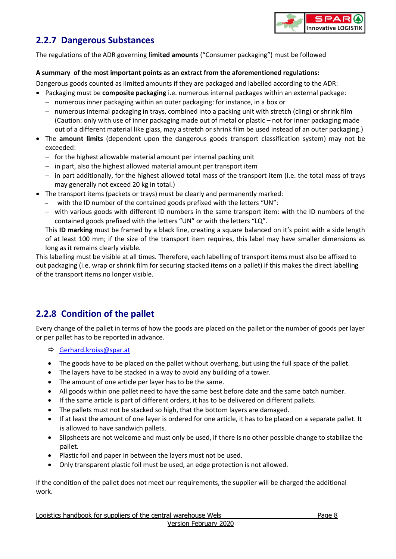

## <span id="page-7-0"></span>**2.2.7 Dangerous Substances**

The regulations of the ADR governing **limited amounts** ("Consumer packaging") must be followed

#### **A summary of the most important points as an extract from the aforementioned regulations:**

Dangerous goods counted as limited amounts if they are packaged and labelled according to the ADR:

- Packaging must be **composite packaging** i.e. numerous internal packages within an external package:
	- $-$  numerous inner packaging within an outer packaging: for instance, in a box or
	- $-$  numerous internal packaging in trays, combined into a packing unit with stretch (cling) or shrink film (Caution: only with use of inner packaging made out of metal or plastic – not for inner packaging made out of a different material like glass, may a stretch or shrink film be used instead of an outer packaging.)
- The **amount limits** (dependent upon the dangerous goods transport classification system) may not be exceeded:
	- $-$  for the highest allowable material amount per internal packing unit
	- $-$  in part, also the highest allowed material amount per transport item
	- in part additionally, for the highest allowed total mass of the transport item (i.e. the total mass of trays may generally not exceed 20 kg in total.)
- The transport items (packets or trays) must be clearly and permanently marked:
	- with the ID number of the contained goods prefixed with the letters "UN":
	- $-$  with various goods with different ID numbers in the same transport item: with the ID numbers of the contained goods prefixed with the letters "UN" or with the letters "LQ".

This **ID marking** must be framed by a black line, creating a square balanced on it's point with a side length of at least 100 mm; if the size of the transport item requires, this label may have smaller dimensions as long as it remains clearly visible.

This labelling must be visible at all times. Therefore, each labelling of transport items must also be affixed to out packaging (i.e. wrap or shrink film for securing stacked items on a pallet) if this makes the direct labelling of the transport items no longer visible.

# <span id="page-7-1"></span>**2.2.8 Condition of the pallet**

Every change of the pallet in terms of how the goods are placed on the pallet or the number of goods per layer or per pallet has to be reported in advance.

- $\Rightarrow$  [Gerhard.kroiss@spar.at](mailto:Gerhard.kroiss@spar.at)
- The goods have to be placed on the pallet without overhang, but using the full space of the pallet.
- The layers have to be stacked in a way to avoid any building of a tower.
- The amount of one article per layer has to be the same.
- All goods within one pallet need to have the same best before date and the same batch number.
- If the same article is part of different orders, it has to be delivered on different pallets.
- The pallets must not be stacked so high, that the bottom layers are damaged.
- If at least the amount of one layer is ordered for one article, it has to be placed on a separate pallet. It is allowed to have sandwich pallets.
- Slipsheets are not welcome and must only be used, if there is no other possible change to stabilize the pallet.
- Plastic foil and paper in between the layers must not be used.
- Only transparent plastic foil must be used, an edge protection is not allowed.

If the condition of the pallet does not meet our requirements, the supplier will be charged the additional work.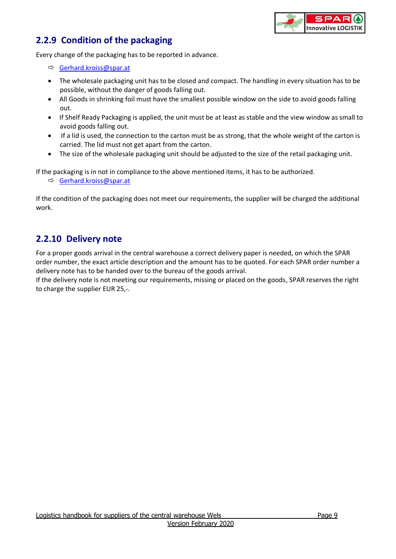

# <span id="page-8-0"></span>**2.2.9 Condition of the packaging**

Every change of the packaging has to be reported in advance.

- [Gerhard.kroiss@spar.at](mailto:Gerhard.kroiss@spar.at)
- The wholesale packaging unit has to be closed and compact. The handling in every situation has to be possible, without the danger of goods falling out.
- All Goods in shrinking foil must have the smallest possible window on the side to avoid goods falling out.
- If Shelf Ready Packaging is applied, the unit must be at least as stable and the view window as small to avoid goods falling out.
- If a lid is used, the connection to the carton must be as strong, that the whole weight of the carton is carried. The lid must not get apart from the carton.
- The size of the wholesale packaging unit should be adjusted to the size of the retail packaging unit.

If the packaging is in not in compliance to the above mentioned items, it has to be authorized.

[Gerhard.kroiss@spar.at](mailto:Gerhard.kroiss@spar.at)

If the condition of the packaging does not meet our requirements, the supplier will be charged the additional work.

## <span id="page-8-1"></span>**2.2.10 Delivery note**

For a proper goods arrival in the central warehouse a correct delivery paper is needed, on which the SPAR order number, the exact article description and the amount has to be quoted. For each SPAR order number a delivery note has to be handed over to the bureau of the goods arrival.

If the delivery note is not meeting our requirements, missing or placed on the goods, SPAR reserves the right to charge the supplier EUR 25,-.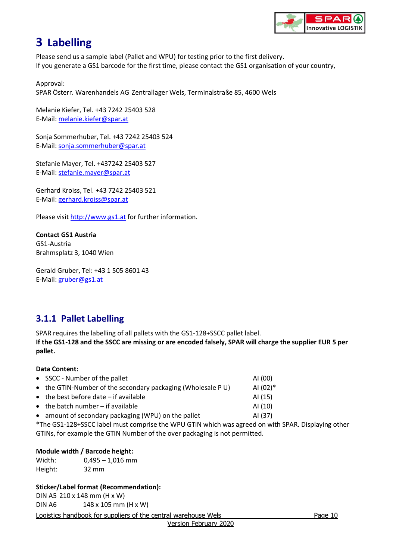

# <span id="page-9-0"></span>**3 Labelling**

Please send us a sample label (Pallet and WPU) for testing prior to the first delivery. If you generate a GS1 barcode for the first time, please contact the GS1 organisation of your country,

Approval: SPAR Österr. Warenhandels AG Zentrallager Wels, Terminalstraße 85, 4600 Wels

Melanie Kiefer, Tel. +43 7242 25403 528 E-Mail: [melanie.kiefer@spar.at](mailto:melanie.kiefer@spar.at)

Sonja Sommerhuber, Tel. +43 7242 25403 524 E-Mail: [sonja.sommerhuber@spar.at](mailto:sonja.sommerhuber@spar.at)

Stefanie Mayer, Tel. +437242 25403 527 E-Mail: [stefanie.mayer@spar.at](mailto:stefanie.mayer@spar.at)

Gerhard Kroiss, Tel. +43 7242 25403 521 E-Mail: [gerhard.kroiss@spar.at](mailto:gerhard.kroiss@spar.at)

Please visi[t http://www.gs1.at](http://www.gs1.at/) for further information.

## **Contact GS1 Austria**

GS1-Austria Brahmsplatz 3, 1040 Wien

Gerald Gruber, Tel: +43 1 505 8601 43 E-Mail: [gruber@gs1.at](mailto:gruber@gs1.at)

# <span id="page-9-1"></span>**3.1.1 Pallet Labelling**

SPAR requires the labelling of all pallets with the GS1-128+SSCC pallet label. **If the GS1-128 and the SSCC are missing or are encoded falsely, SPAR will charge the supplier EUR 5 per pallet.**

## **Data Content:**

| • SSCC - Number of the pallet                               | AI (00)    |
|-------------------------------------------------------------|------------|
| • the GTIN-Number of the secondary packaging (Wholesale PU) | AI $(02)*$ |
| $\bullet$ the best before date $-$ if available             | AI (15)    |
| $\bullet$ the batch number - if available                   | AI (10)    |
| • amount of secondary packaging (WPU) on the pallet         | AI (37)    |

\*The GS1-128+SSCC label must comprise the WPU GTIN which was agreed on with SPAR. Displaying other GTINs, for example the GTIN Number of the over packaging is not permitted.

## **Module width / Barcode height:**

Width: 0,495 – 1,016 mm Height: 32 mm

## **Sticker/Label format (Recommendation):**

DIN A5 210 x 148 mm (H x W) DIN A6 148 x 105 mm (H x W)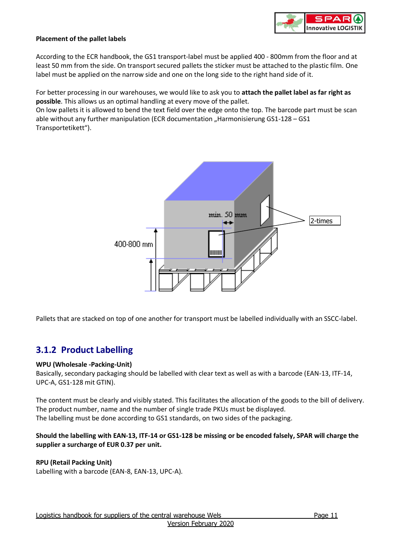

#### **Placement of the pallet labels**

According to the ECR handbook, the GS1 transport-label must be applied 400 - 800mm from the floor and at least 50 mm from the side. On transport secured pallets the sticker must be attached to the plastic film. One label must be applied on the narrow side and one on the long side to the right hand side of it.

For better processing in our warehouses, we would like to ask you to **attach the pallet label as far right as possible**. This allows us an optimal handling at every move of the pallet.

On low pallets it is allowed to bend the text field over the edge onto the top. The barcode part must be scan able without any further manipulation (ECR documentation "Harmonisierung GS1-128 - GS1 Transportetikett").



Pallets that are stacked on top of one another for transport must be labelled individually with an SSCC-label.

## <span id="page-10-0"></span>**3.1.2 Product Labelling**

#### **WPU (Wholesale -Packing-Unit)**

Basically, secondary packaging should be labelled with clear text as well as with a barcode (EAN-13, ITF-14, UPC-A, GS1-128 mit GTIN).

The content must be clearly and visibly stated. This facilitates the allocation of the goods to the bill of delivery. The product number, name and the number of single trade PKUs must be displayed. The labelling must be done according to GS1 standards, on two sides of the packaging.

#### **Should the labelling with EAN-13, ITF-14 or GS1-128 be missing or be encoded falsely, SPAR will charge the supplier a surcharge of EUR 0.37 per unit.**

#### **RPU (Retail Packing Unit)**

Labelling with a barcode (EAN-8, EAN-13, UPC-A).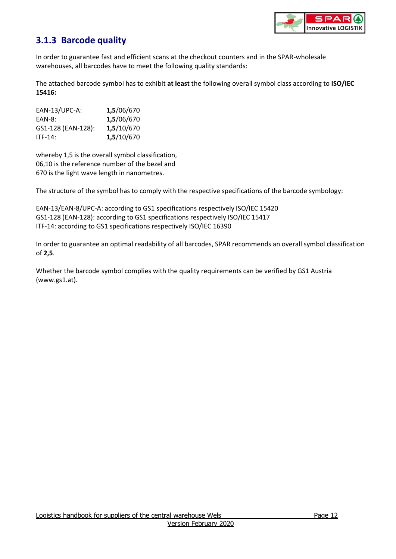

# <span id="page-11-0"></span>**3.1.3 Barcode quality**

In order to guarantee fast and efficient scans at the checkout counters and in the SPAR-wholesale warehouses, all barcodes have to meet the following quality standards:

The attached barcode symbol has to exhibit **at least** the following overall symbol class according to **ISO/IEC 15416:**

| $EAN-13/UPC-A$ :   | 1,5/06/670 |
|--------------------|------------|
| EAN-8:             | 1,5/06/670 |
| GS1-128 (EAN-128): | 1,5/10/670 |
| ITF-14:            | 1,5/10/670 |

whereby 1,5 is the overall symbol classification, 06,10 is the reference number of the bezel and 670 is the light wave length in nanometres.

The structure of the symbol has to comply with the respective specifications of the barcode symbology:

EAN-13/EAN-8/UPC-A: according to GS1 specifications respectively ISO/IEC 15420 GS1-128 (EAN-128): according to GS1 specifications respectively ISO/IEC 15417 ITF-14: according to GS1 specifications respectively ISO/IEC 16390

In order to guarantee an optimal readability of all barcodes, SPAR recommends an overall symbol classification of **2,5**.

Whether the barcode symbol complies with the quality requirements can be verified by GS1 Austria [\(www.gs1.at\)](http://www.gs1.at/).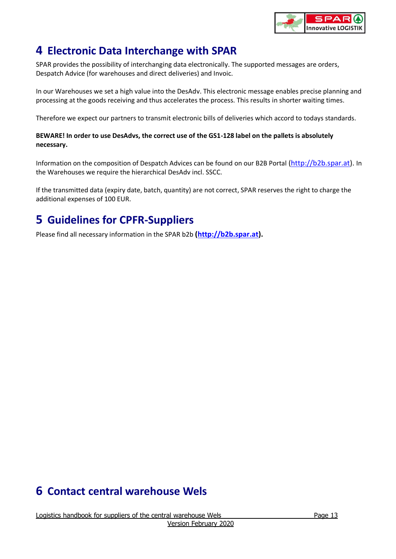

# <span id="page-12-0"></span>**4 Electronic Data Interchange with SPAR**

SPAR provides the possibility of interchanging data electronically. The supported messages are orders, Despatch Advice (for warehouses and direct deliveries) and Invoic.

In our Warehouses we set a high value into the DesAdv. This electronic message enables precise planning and processing at the goods receiving and thus accelerates the process. This results in shorter waiting times.

Therefore we expect our partners to transmit electronic bills of deliveries which accord to todays standards.

## **BEWARE! In order to use DesAdvs, the correct use of the GS1-128 label on the pallets is absolutely necessary.**

Information on the composition of Despatch Advices can be found on our B2B Portal [\(http://b2b.spar.at\)](https://b2b.spar.at/). In the Warehouses we require the hierarchical DesAdv incl. SSCC.

If the transmitted data (expiry date, batch, quantity) are not correct, SPAR reserves the right to charge the additional expenses of 100 EUR.

# <span id="page-12-1"></span>**5 Guidelines for CPFR-Suppliers**

Please find all necessary information in the SPAR b2b **[\(http://b2b.spar.at\)](https://b2b.spar.at/).**

# <span id="page-12-2"></span>**6 Contact central warehouse Wels**